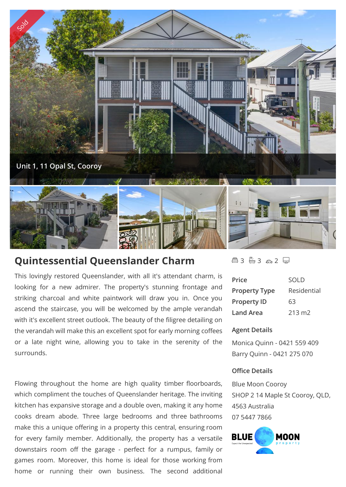

# **Quintessential Queenslander Charm**

This lovingly restored Queenslander, with all it's attendant charm, is looking for a new admirer. The property's stunning frontage and striking charcoal and white paintwork will draw you in. Once you ascend the staircase, you will be welcomed by the ample verandah with it's excellent street outlook. The beauty of the filigree detailing on the verandah will make this an excellent spot for early morning coffees or a late night wine, allowing you to take in the serenity of the surrounds.

Flowing throughout the home are high quality timber floorboards, which compliment the touches of Queenslander heritage. The inviting kitchen has expansive storage and a double oven, making it any home cooks dream abode. Three large bedrooms and three bathrooms make this a unique offering in a property this central, ensuring room for every family member. Additionally, the property has a versatile  $\blacksquare$ downstairs room off the garage - perfect for a rumpus, family or games room. Moreover, this home is ideal for those working from home or running their own business. The second additional

△3 43 △2 →

| Price                | SOLD            |
|----------------------|-----------------|
| <b>Property Type</b> | Residential     |
| <b>Property ID</b>   | 63              |
| Land Area            | $213 \text{ m}$ |

## **Agent Details**

Monica Quinn - 0421 559 409 Barry Quinn - 0421 275 070

#### **Office Details**

Blue Moon Cooroy SHOP 2 14 Maple St Cooroy, QLD, 4563 Australia 07 5447 7866

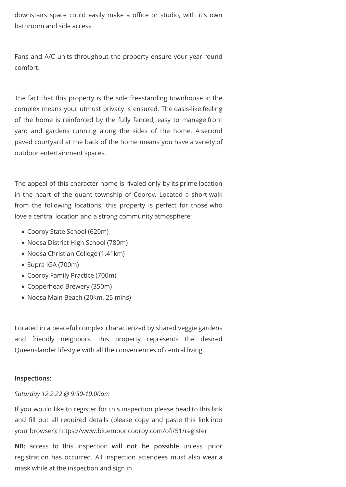downstairs space could easily make a office or studio, with it's own bathroom and side access.

Fans and A/C units throughout the property ensure your year-round comfort.

The fact that this property is the sole freestanding townhouse in the complex means your utmost privacy is ensured. The oasis-like feeling of the home is reinforced by the fully fenced, easy to manage front yard and gardens running along the sides of the home. A second paved courtyard at the back of the home means you have a variety of outdoor entertainment spaces.

The appeal of this character home is rivaled only by its prime location in the heart of the quant township of Cooroy. Located a short walk from the following locations, this property is perfect for those who love a central location and a strong community atmosphere:

- Cooroy State School (620m)
- Noosa District High School (780m)
- Noosa Christian College (1.41km)
- Supra IGA (700m)
- Cooroy Family Practice (700m)
- Copperhead Brewery (350m)
- Noosa Main Beach (20km, 25 mins)

Located in a peaceful complex characterized by shared veggie gardens and friendly neighbors, this property represents the desired Queenslander lifestyle with all the conveniences of central living.

#### **Inspections:**

#### *Saturday 12.2.22 @ 9:30-10:00am*

If you would like to register for this inspection please head to this link and fill out all required details (please copy and paste this link into your browser): https://www.bluemooncooroy.com/ofi/51/register

**NB:** access to this inspection **will not be possible** unless prior registration has occurred. All inspection attendees must also wear a mask while at the inspection and sign in.